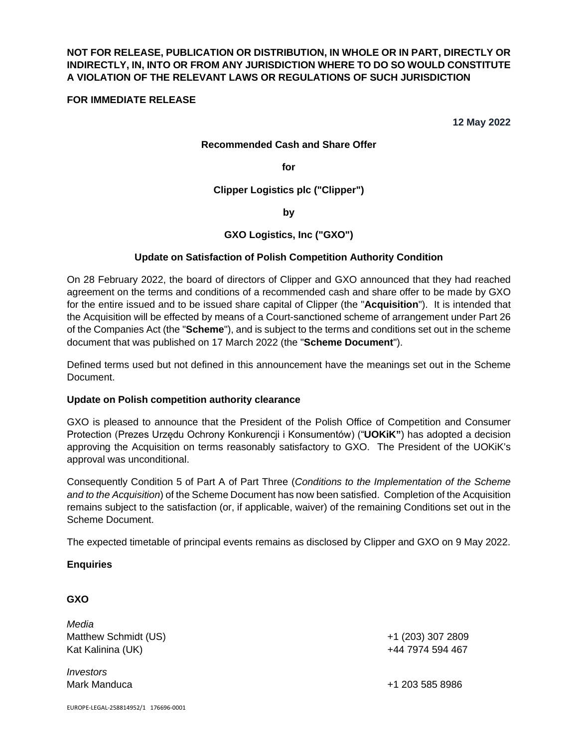# **NOT FOR RELEASE, PUBLICATION OR DISTRIBUTION, IN WHOLE OR IN PART, DIRECTLY OR INDIRECTLY, IN, INTO OR FROM ANY JURISDICTION WHERE TO DO SO WOULD CONSTITUTE A VIOLATION OF THE RELEVANT LAWS OR REGULATIONS OF SUCH JURISDICTION**

### **FOR IMMEDIATE RELEASE**

**12 May 2022** 

#### **Recommended Cash and Share Offer**

**for** 

**Clipper Logistics plc ("Clipper")** 

**by** 

## **GXO Logistics, Inc ("GXO")**

#### **Update on Satisfaction of Polish Competition Authority Condition**

On 28 February 2022, the board of directors of Clipper and GXO announced that they had reached agreement on the terms and conditions of a recommended cash and share offer to be made by GXO for the entire issued and to be issued share capital of Clipper (the "**Acquisition**"). It is intended that the Acquisition will be effected by means of a Court-sanctioned scheme of arrangement under Part 26 of the Companies Act (the "**Scheme**"), and is subject to the terms and conditions set out in the scheme document that was published on 17 March 2022 (the "**Scheme Document**").

Defined terms used but not defined in this announcement have the meanings set out in the Scheme Document.

#### **Update on Polish competition authority clearance**

GXO is pleased to announce that the President of the Polish Office of Competition and Consumer Protection (Prezes Urzędu Ochrony Konkurencji i Konsumentów) ("**UOKiK"**) has adopted a decision approving the Acquisition on terms reasonably satisfactory to GXO. The President of the UOKiK's approval was unconditional.

Consequently Condition 5 of Part A of Part Three (*Conditions to the Implementation of the Scheme and to the Acquisition*) of the Scheme Document has now been satisfied. Completion of the Acquisition remains subject to the satisfaction (or, if applicable, waiver) of the remaining Conditions set out in the Scheme Document.

The expected timetable of principal events remains as disclosed by Clipper and GXO on 9 May 2022.

#### **Enquiries**

#### **GXO**

*Media*  Matthew Schmidt (US) +1 (203) 307 2809 Kat Kalinina (UK) +44 7974 594 467

*Investors* 

Mark Manduca +1 203 585 8986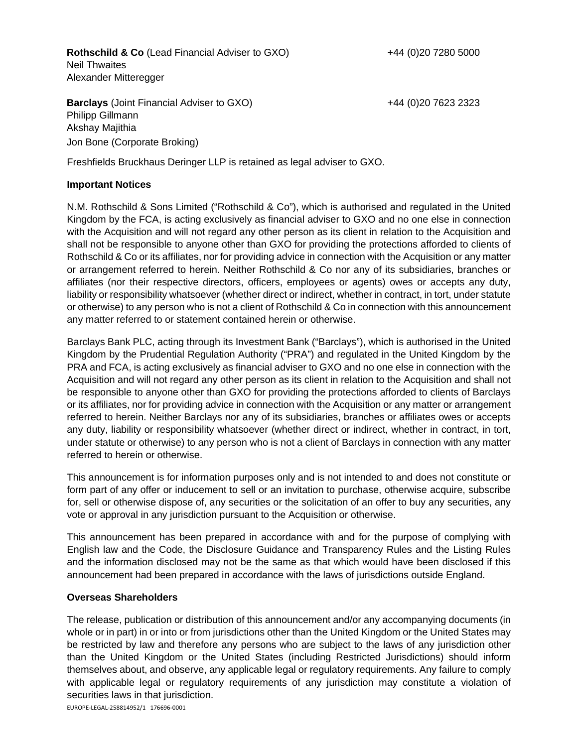**Rothschild & Co** (Lead Financial Adviser to GXO)  $+44$  (0)20 7280 5000 Neil Thwaites Alexander Mitteregger

**Barclays** (Joint Financial Adviser to GXO) Philipp Gillmann Akshay Majithia Jon Bone (Corporate Broking)

+44 (0)20 7623 2323

Freshfields Bruckhaus Deringer LLP is retained as legal adviser to GXO.

### **Important Notices**

N.M. Rothschild & Sons Limited ("Rothschild & Co"), which is authorised and regulated in the United Kingdom by the FCA, is acting exclusively as financial adviser to GXO and no one else in connection with the Acquisition and will not regard any other person as its client in relation to the Acquisition and shall not be responsible to anyone other than GXO for providing the protections afforded to clients of Rothschild & Co or its affiliates, nor for providing advice in connection with the Acquisition or any matter or arrangement referred to herein. Neither Rothschild & Co nor any of its subsidiaries, branches or affiliates (nor their respective directors, officers, employees or agents) owes or accepts any duty, liability or responsibility whatsoever (whether direct or indirect, whether in contract, in tort, under statute or otherwise) to any person who is not a client of Rothschild & Co in connection with this announcement any matter referred to or statement contained herein or otherwise.

Barclays Bank PLC, acting through its Investment Bank ("Barclays"), which is authorised in the United Kingdom by the Prudential Regulation Authority ("PRA") and regulated in the United Kingdom by the PRA and FCA, is acting exclusively as financial adviser to GXO and no one else in connection with the Acquisition and will not regard any other person as its client in relation to the Acquisition and shall not be responsible to anyone other than GXO for providing the protections afforded to clients of Barclays or its affiliates, nor for providing advice in connection with the Acquisition or any matter or arrangement referred to herein. Neither Barclays nor any of its subsidiaries, branches or affiliates owes or accepts any duty, liability or responsibility whatsoever (whether direct or indirect, whether in contract, in tort, under statute or otherwise) to any person who is not a client of Barclays in connection with any matter referred to herein or otherwise.

This announcement is for information purposes only and is not intended to and does not constitute or form part of any offer or inducement to sell or an invitation to purchase, otherwise acquire, subscribe for, sell or otherwise dispose of, any securities or the solicitation of an offer to buy any securities, any vote or approval in any jurisdiction pursuant to the Acquisition or otherwise.

This announcement has been prepared in accordance with and for the purpose of complying with English law and the Code, the Disclosure Guidance and Transparency Rules and the Listing Rules and the information disclosed may not be the same as that which would have been disclosed if this announcement had been prepared in accordance with the laws of jurisdictions outside England.

#### **Overseas Shareholders**

The release, publication or distribution of this announcement and/or any accompanying documents (in whole or in part) in or into or from jurisdictions other than the United Kingdom or the United States may be restricted by law and therefore any persons who are subject to the laws of any jurisdiction other than the United Kingdom or the United States (including Restricted Jurisdictions) should inform themselves about, and observe, any applicable legal or regulatory requirements. Any failure to comply with applicable legal or regulatory requirements of any jurisdiction may constitute a violation of securities laws in that jurisdiction.

EUROPE-LEGAL-258814952/1 176696-0001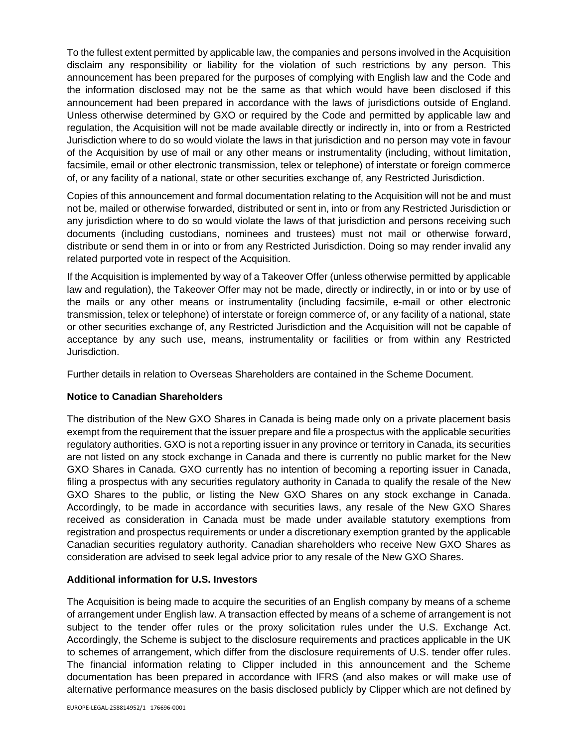To the fullest extent permitted by applicable law, the companies and persons involved in the Acquisition disclaim any responsibility or liability for the violation of such restrictions by any person. This announcement has been prepared for the purposes of complying with English law and the Code and the information disclosed may not be the same as that which would have been disclosed if this announcement had been prepared in accordance with the laws of jurisdictions outside of England. Unless otherwise determined by GXO or required by the Code and permitted by applicable law and regulation, the Acquisition will not be made available directly or indirectly in, into or from a Restricted Jurisdiction where to do so would violate the laws in that jurisdiction and no person may vote in favour of the Acquisition by use of mail or any other means or instrumentality (including, without limitation, facsimile, email or other electronic transmission, telex or telephone) of interstate or foreign commerce of, or any facility of a national, state or other securities exchange of, any Restricted Jurisdiction.

Copies of this announcement and formal documentation relating to the Acquisition will not be and must not be, mailed or otherwise forwarded, distributed or sent in, into or from any Restricted Jurisdiction or any jurisdiction where to do so would violate the laws of that jurisdiction and persons receiving such documents (including custodians, nominees and trustees) must not mail or otherwise forward, distribute or send them in or into or from any Restricted Jurisdiction. Doing so may render invalid any related purported vote in respect of the Acquisition.

If the Acquisition is implemented by way of a Takeover Offer (unless otherwise permitted by applicable law and regulation), the Takeover Offer may not be made, directly or indirectly, in or into or by use of the mails or any other means or instrumentality (including facsimile, e-mail or other electronic transmission, telex or telephone) of interstate or foreign commerce of, or any facility of a national, state or other securities exchange of, any Restricted Jurisdiction and the Acquisition will not be capable of acceptance by any such use, means, instrumentality or facilities or from within any Restricted Jurisdiction.

Further details in relation to Overseas Shareholders are contained in the Scheme Document.

## **Notice to Canadian Shareholders**

The distribution of the New GXO Shares in Canada is being made only on a private placement basis exempt from the requirement that the issuer prepare and file a prospectus with the applicable securities regulatory authorities. GXO is not a reporting issuer in any province or territory in Canada, its securities are not listed on any stock exchange in Canada and there is currently no public market for the New GXO Shares in Canada. GXO currently has no intention of becoming a reporting issuer in Canada, filing a prospectus with any securities regulatory authority in Canada to qualify the resale of the New GXO Shares to the public, or listing the New GXO Shares on any stock exchange in Canada. Accordingly, to be made in accordance with securities laws, any resale of the New GXO Shares received as consideration in Canada must be made under available statutory exemptions from registration and prospectus requirements or under a discretionary exemption granted by the applicable Canadian securities regulatory authority. Canadian shareholders who receive New GXO Shares as consideration are advised to seek legal advice prior to any resale of the New GXO Shares.

## **Additional information for U.S. Investors**

The Acquisition is being made to acquire the securities of an English company by means of a scheme of arrangement under English law. A transaction effected by means of a scheme of arrangement is not subject to the tender offer rules or the proxy solicitation rules under the U.S. Exchange Act. Accordingly, the Scheme is subject to the disclosure requirements and practices applicable in the UK to schemes of arrangement, which differ from the disclosure requirements of U.S. tender offer rules. The financial information relating to Clipper included in this announcement and the Scheme documentation has been prepared in accordance with IFRS (and also makes or will make use of alternative performance measures on the basis disclosed publicly by Clipper which are not defined by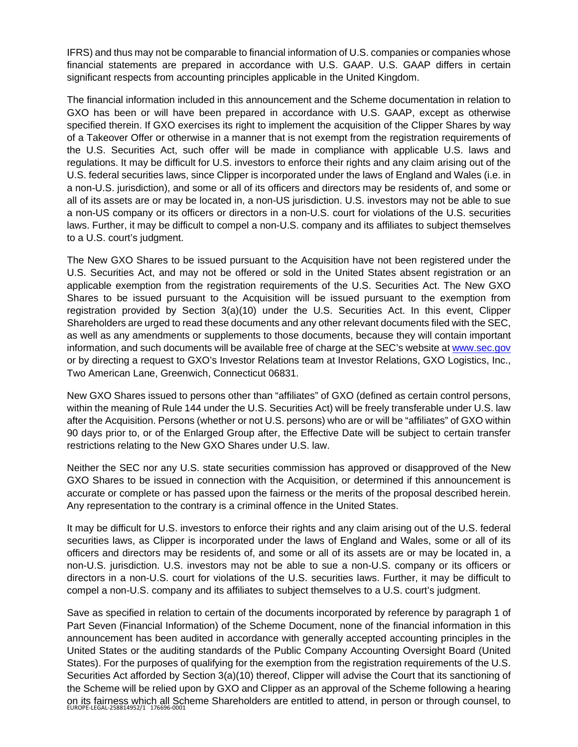IFRS) and thus may not be comparable to financial information of U.S. companies or companies whose financial statements are prepared in accordance with U.S. GAAP. U.S. GAAP differs in certain significant respects from accounting principles applicable in the United Kingdom.

The financial information included in this announcement and the Scheme documentation in relation to GXO has been or will have been prepared in accordance with U.S. GAAP, except as otherwise specified therein. If GXO exercises its right to implement the acquisition of the Clipper Shares by way of a Takeover Offer or otherwise in a manner that is not exempt from the registration requirements of the U.S. Securities Act, such offer will be made in compliance with applicable U.S. laws and regulations. It may be difficult for U.S. investors to enforce their rights and any claim arising out of the U.S. federal securities laws, since Clipper is incorporated under the laws of England and Wales (i.e. in a non-U.S. jurisdiction), and some or all of its officers and directors may be residents of, and some or all of its assets are or may be located in, a non-US jurisdiction. U.S. investors may not be able to sue a non-US company or its officers or directors in a non-U.S. court for violations of the U.S. securities laws. Further, it may be difficult to compel a non-U.S. company and its affiliates to subject themselves to a U.S. court's judgment.

The New GXO Shares to be issued pursuant to the Acquisition have not been registered under the U.S. Securities Act, and may not be offered or sold in the United States absent registration or an applicable exemption from the registration requirements of the U.S. Securities Act. The New GXO Shares to be issued pursuant to the Acquisition will be issued pursuant to the exemption from registration provided by Section 3(a)(10) under the U.S. Securities Act. In this event, Clipper Shareholders are urged to read these documents and any other relevant documents filed with the SEC, as well as any amendments or supplements to those documents, because they will contain important information, and such documents will be available free of charge at the SEC's website at [www.sec.gov](http://www.sec.gov/) or by directing a request to GXO's Investor Relations team at Investor Relations, GXO Logistics, Inc., Two American Lane, Greenwich, Connecticut 06831.

New GXO Shares issued to persons other than "affiliates" of GXO (defined as certain control persons, within the meaning of Rule 144 under the U.S. Securities Act) will be freely transferable under U.S. law after the Acquisition. Persons (whether or not U.S. persons) who are or will be "affiliates" of GXO within 90 days prior to, or of the Enlarged Group after, the Effective Date will be subject to certain transfer restrictions relating to the New GXO Shares under U.S. law.

Neither the SEC nor any U.S. state securities commission has approved or disapproved of the New GXO Shares to be issued in connection with the Acquisition, or determined if this announcement is accurate or complete or has passed upon the fairness or the merits of the proposal described herein. Any representation to the contrary is a criminal offence in the United States.

It may be difficult for U.S. investors to enforce their rights and any claim arising out of the U.S. federal securities laws, as Clipper is incorporated under the laws of England and Wales, some or all of its officers and directors may be residents of, and some or all of its assets are or may be located in, a non-U.S. jurisdiction. U.S. investors may not be able to sue a non-U.S. company or its officers or directors in a non-U.S. court for violations of the U.S. securities laws. Further, it may be difficult to compel a non-U.S. company and its affiliates to subject themselves to a U.S. court's judgment.

on its fairness which all Scheme Shareholders are entitled to attend, in person or through counsel, to<br><sup>EUROPE-LEGAL-258814952/1</sup> 176696-0001 Save as specified in relation to certain of the documents incorporated by reference by paragraph 1 of Part Seven (Financial Information) of the Scheme Document, none of the financial information in this announcement has been audited in accordance with generally accepted accounting principles in the United States or the auditing standards of the Public Company Accounting Oversight Board (United States). For the purposes of qualifying for the exemption from the registration requirements of the U.S. Securities Act afforded by Section 3(a)(10) thereof, Clipper will advise the Court that its sanctioning of the Scheme will be relied upon by GXO and Clipper as an approval of the Scheme following a hearing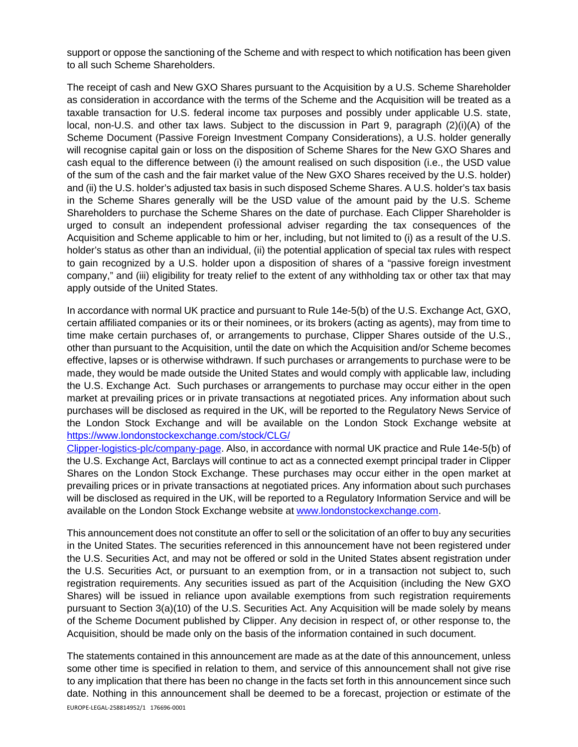support or oppose the sanctioning of the Scheme and with respect to which notification has been given to all such Scheme Shareholders.

The receipt of cash and New GXO Shares pursuant to the Acquisition by a U.S. Scheme Shareholder as consideration in accordance with the terms of the Scheme and the Acquisition will be treated as a taxable transaction for U.S. federal income tax purposes and possibly under applicable U.S. state, local, non-U.S. and other tax laws. Subject to the discussion in Part 9, paragraph (2)(i)(A) of the Scheme Document (Passive Foreign Investment Company Considerations), a U.S. holder generally will recognise capital gain or loss on the disposition of Scheme Shares for the New GXO Shares and cash equal to the difference between (i) the amount realised on such disposition (i.e., the USD value of the sum of the cash and the fair market value of the New GXO Shares received by the U.S. holder) and (ii) the U.S. holder's adjusted tax basis in such disposed Scheme Shares. A U.S. holder's tax basis in the Scheme Shares generally will be the USD value of the amount paid by the U.S. Scheme Shareholders to purchase the Scheme Shares on the date of purchase. Each Clipper Shareholder is urged to consult an independent professional adviser regarding the tax consequences of the Acquisition and Scheme applicable to him or her, including, but not limited to (i) as a result of the U.S. holder's status as other than an individual, (ii) the potential application of special tax rules with respect to gain recognized by a U.S. holder upon a disposition of shares of a "passive foreign investment company," and (iii) eligibility for treaty relief to the extent of any withholding tax or other tax that may apply outside of the United States.

In accordance with normal UK practice and pursuant to Rule 14e-5(b) of the U.S. Exchange Act, GXO, certain affiliated companies or its or their nominees, or its brokers (acting as agents), may from time to time make certain purchases of, or arrangements to purchase, Clipper Shares outside of the U.S., other than pursuant to the Acquisition, until the date on which the Acquisition and/or Scheme becomes effective, lapses or is otherwise withdrawn. If such purchases or arrangements to purchase were to be made, they would be made outside the United States and would comply with applicable law, including the U.S. Exchange Act. Such purchases or arrangements to purchase may occur either in the open market at prevailing prices or in private transactions at negotiated prices. Any information about such purchases will be disclosed as required in the UK, will be reported to the Regulatory News Service of the London Stock Exchange and will be available on the London Stock Exchange website at [https://www.londonstockexchange.com/stock/CLG/](https://www.londonstockexchange.com/stock/CLG/Clipper-logistics-plc/company-page) 

[Clipper-logistics-plc/company-page.](https://www.londonstockexchange.com/stock/CLG/Clipper-logistics-plc/company-page) Also, in accordance with normal UK practice and Rule 14e-5(b) of the U.S. Exchange Act, Barclays will continue to act as a connected exempt principal trader in Clipper Shares on the London Stock Exchange. These purchases may occur either in the open market at prevailing prices or in private transactions at negotiated prices. Any information about such purchases will be disclosed as required in the UK, will be reported to a Regulatory Information Service and will be available on the London Stock Exchange website at [www.londonstockexchange.com.](http://www.londonstockexchange.com/)

This announcement does not constitute an offer to sell or the solicitation of an offer to buy any securities in the United States. The securities referenced in this announcement have not been registered under the U.S. Securities Act, and may not be offered or sold in the United States absent registration under the U.S. Securities Act, or pursuant to an exemption from, or in a transaction not subject to, such registration requirements. Any securities issued as part of the Acquisition (including the New GXO Shares) will be issued in reliance upon available exemptions from such registration requirements pursuant to Section 3(a)(10) of the U.S. Securities Act. Any Acquisition will be made solely by means of the Scheme Document published by Clipper. Any decision in respect of, or other response to, the Acquisition, should be made only on the basis of the information contained in such document.

EUROPE-LEGAL-258814952/1 176696-0001 The statements contained in this announcement are made as at the date of this announcement, unless some other time is specified in relation to them, and service of this announcement shall not give rise to any implication that there has been no change in the facts set forth in this announcement since such date. Nothing in this announcement shall be deemed to be a forecast, projection or estimate of the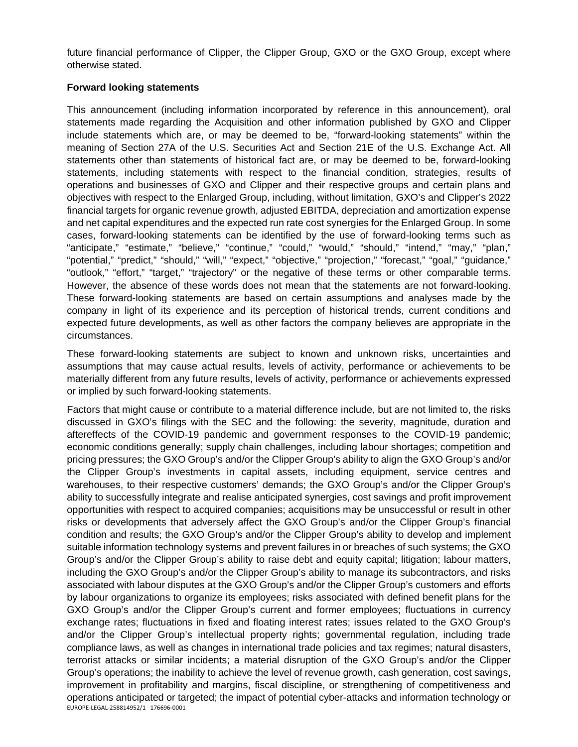future financial performance of Clipper, the Clipper Group, GXO or the GXO Group, except where otherwise stated.

## **Forward looking statements**

This announcement (including information incorporated by reference in this announcement), oral statements made regarding the Acquisition and other information published by GXO and Clipper include statements which are, or may be deemed to be, "forward-looking statements" within the meaning of Section 27A of the U.S. Securities Act and Section 21E of the U.S. Exchange Act. All statements other than statements of historical fact are, or may be deemed to be, forward-looking statements, including statements with respect to the financial condition, strategies, results of operations and businesses of GXO and Clipper and their respective groups and certain plans and objectives with respect to the Enlarged Group, including, without limitation, GXO's and Clipper's 2022 financial targets for organic revenue growth, adjusted EBITDA, depreciation and amortization expense and net capital expenditures and the expected run rate cost synergies for the Enlarged Group. In some cases, forward-looking statements can be identified by the use of forward-looking terms such as "anticipate," "estimate," "believe," "continue," "could," "would," "should," "intend," "may," "plan," "potential," "predict," "should," "will," "expect," "objective," "projection," "forecast," "goal," "guidance," "outlook," "effort," "target," "trajectory" or the negative of these terms or other comparable terms. However, the absence of these words does not mean that the statements are not forward-looking. These forward-looking statements are based on certain assumptions and analyses made by the company in light of its experience and its perception of historical trends, current conditions and expected future developments, as well as other factors the company believes are appropriate in the circumstances.

These forward-looking statements are subject to known and unknown risks, uncertainties and assumptions that may cause actual results, levels of activity, performance or achievements to be materially different from any future results, levels of activity, performance or achievements expressed or implied by such forward-looking statements.

EUROPE-LEGAL-258814952/1 176696-0001 Factors that might cause or contribute to a material difference include, but are not limited to, the risks discussed in GXO's filings with the SEC and the following: the severity, magnitude, duration and aftereffects of the COVID-19 pandemic and government responses to the COVID-19 pandemic; economic conditions generally; supply chain challenges, including labour shortages; competition and pricing pressures; the GXO Group's and/or the Clipper Group's ability to align the GXO Group's and/or the Clipper Group's investments in capital assets, including equipment, service centres and warehouses, to their respective customers' demands; the GXO Group's and/or the Clipper Group's ability to successfully integrate and realise anticipated synergies, cost savings and profit improvement opportunities with respect to acquired companies; acquisitions may be unsuccessful or result in other risks or developments that adversely affect the GXO Group's and/or the Clipper Group's financial condition and results; the GXO Group's and/or the Clipper Group's ability to develop and implement suitable information technology systems and prevent failures in or breaches of such systems; the GXO Group's and/or the Clipper Group's ability to raise debt and equity capital; litigation; labour matters, including the GXO Group's and/or the Clipper Group's ability to manage its subcontractors, and risks associated with labour disputes at the GXO Group's and/or the Clipper Group's customers and efforts by labour organizations to organize its employees; risks associated with defined benefit plans for the GXO Group's and/or the Clipper Group's current and former employees; fluctuations in currency exchange rates; fluctuations in fixed and floating interest rates; issues related to the GXO Group's and/or the Clipper Group's intellectual property rights; governmental regulation, including trade compliance laws, as well as changes in international trade policies and tax regimes; natural disasters, terrorist attacks or similar incidents; a material disruption of the GXO Group's and/or the Clipper Group's operations; the inability to achieve the level of revenue growth, cash generation, cost savings, improvement in profitability and margins, fiscal discipline, or strengthening of competitiveness and operations anticipated or targeted; the impact of potential cyber-attacks and information technology or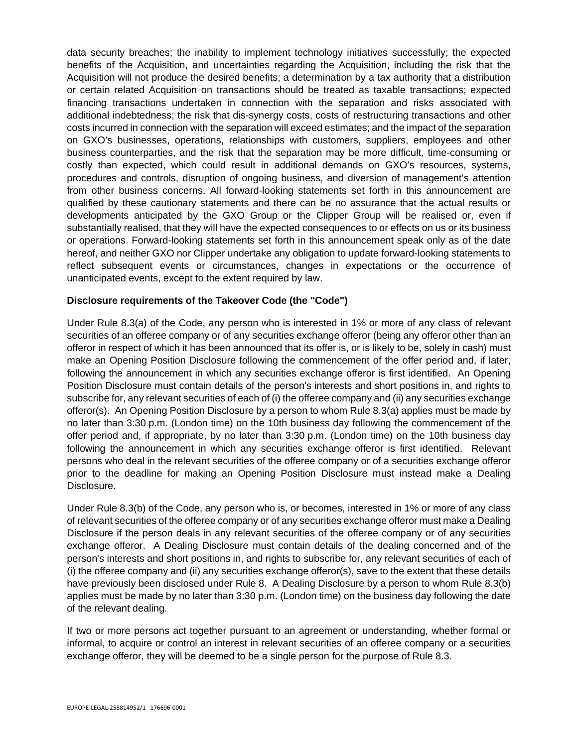data security breaches; the inability to implement technology initiatives successfully; the expected benefits of the Acquisition, and uncertainties regarding the Acquisition, including the risk that the Acquisition will not produce the desired benefits; a determination by a tax authority that a distribution or certain related Acquisition on transactions should be treated as taxable transactions; expected financing transactions undertaken in connection with the separation and risks associated with additional indebtedness; the risk that dis-synergy costs, costs of restructuring transactions and other costs incurred in connection with the separation will exceed estimates; and the impact of the separation on GXO's businesses, operations, relationships with customers, suppliers, employees and other business counterparties, and the risk that the separation may be more difficult, time-consuming or costly than expected, which could result in additional demands on GXO's resources, systems, procedures and controls, disruption of ongoing business, and diversion of management's attention from other business concerns. All forward-looking statements set forth in this announcement are qualified by these cautionary statements and there can be no assurance that the actual results or developments anticipated by the GXO Group or the Clipper Group will be realised or, even if substantially realised, that they will have the expected consequences to or effects on us or its business or operations. Forward-looking statements set forth in this announcement speak only as of the date hereof, and neither GXO nor Clipper undertake any obligation to update forward-looking statements to reflect subsequent events or circumstances, changes in expectations or the occurrence of unanticipated events, except to the extent required by law.

## **Disclosure requirements of the Takeover Code (the "Code")**

Under Rule 8.3(a) of the Code, any person who is interested in 1% or more of any class of relevant securities of an offeree company or of any securities exchange offeror (being any offeror other than an offeror in respect of which it has been announced that its offer is, or is likely to be, solely in cash) must make an Opening Position Disclosure following the commencement of the offer period and, if later, following the announcement in which any securities exchange offeror is first identified. An Opening Position Disclosure must contain details of the person's interests and short positions in, and rights to subscribe for, any relevant securities of each of (i) the offeree company and (ii) any securities exchange offeror(s). An Opening Position Disclosure by a person to whom Rule 8.3(a) applies must be made by no later than 3:30 p.m. (London time) on the 10th business day following the commencement of the offer period and, if appropriate, by no later than 3:30 p.m. (London time) on the 10th business day following the announcement in which any securities exchange offeror is first identified. Relevant persons who deal in the relevant securities of the offeree company or of a securities exchange offeror prior to the deadline for making an Opening Position Disclosure must instead make a Dealing Disclosure.

Under Rule 8.3(b) of the Code, any person who is, or becomes, interested in 1% or more of any class of relevant securities of the offeree company or of any securities exchange offeror must make a Dealing Disclosure if the person deals in any relevant securities of the offeree company or of any securities exchange offeror. A Dealing Disclosure must contain details of the dealing concerned and of the person's interests and short positions in, and rights to subscribe for, any relevant securities of each of (i) the offeree company and (ii) any securities exchange offeror(s), save to the extent that these details have previously been disclosed under Rule 8. A Dealing Disclosure by a person to whom Rule 8.3(b) applies must be made by no later than 3:30 p.m. (London time) on the business day following the date of the relevant dealing.

If two or more persons act together pursuant to an agreement or understanding, whether formal or informal, to acquire or control an interest in relevant securities of an offeree company or a securities exchange offeror, they will be deemed to be a single person for the purpose of Rule 8.3.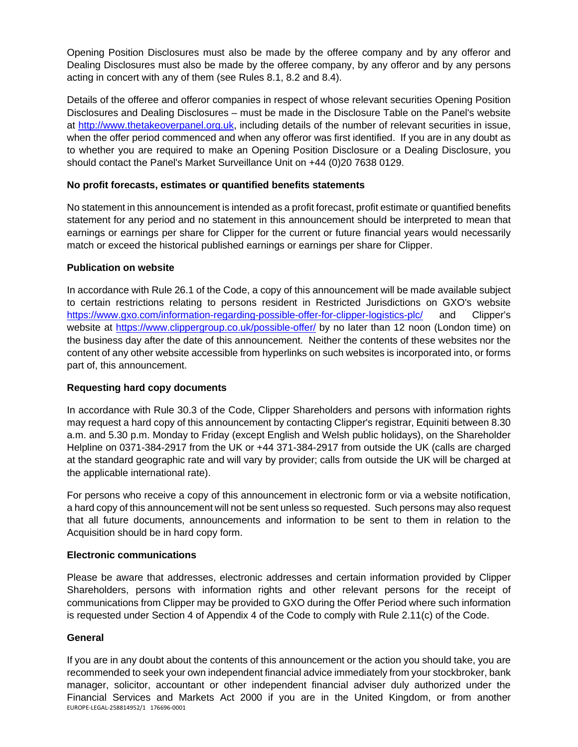Opening Position Disclosures must also be made by the offeree company and by any offeror and Dealing Disclosures must also be made by the offeree company, by any offeror and by any persons acting in concert with any of them (see Rules 8.1, 8.2 and 8.4).

Details of the offeree and offeror companies in respect of whose relevant securities Opening Position Disclosures and Dealing Disclosures – must be made in the Disclosure Table on the Panel's website at [http://www.thetakeoverpanel.org.uk,](http://www.thetakeoverpanel.org.uk/) including details of the number of relevant securities in issue. when the offer period commenced and when any offeror was first identified. If you are in any doubt as to whether you are required to make an Opening Position Disclosure or a Dealing Disclosure, you should contact the Panel's Market Surveillance Unit on +44 (0)20 7638 0129.

# **No profit forecasts, estimates or quantified benefits statements**

No statement in this announcement is intended as a profit forecast, profit estimate or quantified benefits statement for any period and no statement in this announcement should be interpreted to mean that earnings or earnings per share for Clipper for the current or future financial years would necessarily match or exceed the historical published earnings or earnings per share for Clipper.

# **Publication on website**

In accordance with Rule 26.1 of the Code, a copy of this announcement will be made available subject to certain restrictions relating to persons resident in Restricted Jurisdictions on GXO's website <https://www.gxo.com/information-regarding-possible-offer-for-clipper-logistics-plc/>and Clipper's website at<https://www.clippergroup.co.uk/possible-offer/>by no later than 12 noon (London time) on the business day after the date of this announcement. Neither the contents of these websites nor the content of any other website accessible from hyperlinks on such websites is incorporated into, or forms part of, this announcement.

# **Requesting hard copy documents**

In accordance with Rule 30.3 of the Code, Clipper Shareholders and persons with information rights may request a hard copy of this announcement by contacting Clipper's registrar, Equiniti between 8.30 a.m. and 5.30 p.m. Monday to Friday (except English and Welsh public holidays), on the Shareholder Helpline on 0371-384-2917 from the UK or +44 371-384-2917 from outside the UK (calls are charged at the standard geographic rate and will vary by provider; calls from outside the UK will be charged at the applicable international rate).

For persons who receive a copy of this announcement in electronic form or via a website notification, a hard copy of this announcement will not be sent unless so requested. Such persons may also request that all future documents, announcements and information to be sent to them in relation to the Acquisition should be in hard copy form.

# **Electronic communications**

Please be aware that addresses, electronic addresses and certain information provided by Clipper Shareholders, persons with information rights and other relevant persons for the receipt of communications from Clipper may be provided to GXO during the Offer Period where such information is requested under Section 4 of Appendix 4 of the Code to comply with Rule 2.11(c) of the Code.

# **General**

EUROPE-LEGAL-258814952/1 176696-0001 If you are in any doubt about the contents of this announcement or the action you should take, you are recommended to seek your own independent financial advice immediately from your stockbroker, bank manager, solicitor, accountant or other independent financial adviser duly authorized under the Financial Services and Markets Act 2000 if you are in the United Kingdom, or from another